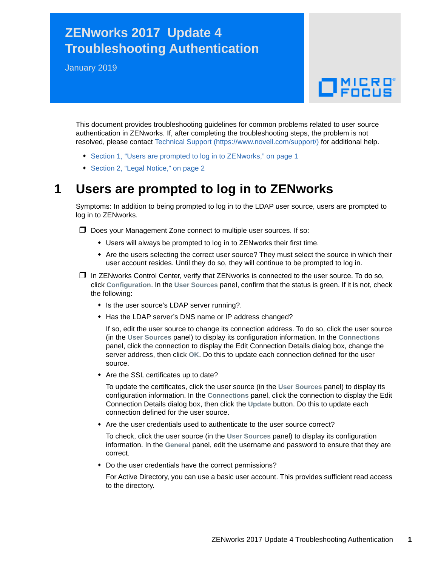## **ZENworks 2017 Update 4 Troubleshooting Authentication**

January 2019

# $\Box$ MICRO'

This document provides troubleshooting guidelines for common problems related to user source authentication in ZENworks. If, after completing the troubleshooting steps, the problem is not resolved, please contact [Technical Support](https://www.novell.com/support/) (https://www.novell.com/support/) for additional help.

- [Section 1, "Users are prompted to log in to ZENworks," on page 1](#page-0-0)
- ◆ [Section 2, "Legal Notice," on page 2](#page-1-0)

### <span id="page-0-0"></span>**1 Users are prompted to log in to ZENworks**

Symptoms: In addition to being prompted to log in to the LDAP user source, users are prompted to log in to ZENworks.

 $\Box$  Does your Management Zone connect to multiple user sources. If so:

- Users will always be prompted to log in to ZENworks their first time.
- Are the users selecting the correct user source? They must select the source in which their user account resides. Until they do so, they will continue to be prompted to log in.

 $\Box$  In ZENworks Control Center, verify that ZENworks is connected to the user source. To do so, click **Configuration**. In the **User Sources** panel, confirm that the status is green. If it is not, check the following:

- Is the user source's LDAP server running?.
- Has the LDAP server's DNS name or IP address changed?

If so, edit the user source to change its connection address. To do so, click the user source (in the **User Sources** panel) to display its configuration information. In the **Connections** panel, click the connection to display the Edit Connection Details dialog box, change the server address, then click **OK**. Do this to update each connection defined for the user source.

• Are the SSL certificates up to date?

To update the certificates, click the user source (in the **User Sources** panel) to display its configuration information. In the **Connections** panel, click the connection to display the Edit Connection Details dialog box, then click the **Update** button. Do this to update each connection defined for the user source.

Are the user credentials used to authenticate to the user source correct?

To check, click the user source (in the **User Sources** panel) to display its configuration information. In the **General** panel, edit the username and password to ensure that they are correct.

Do the user credentials have the correct permissions?

For Active Directory, you can use a basic user account. This provides sufficient read access to the directory.